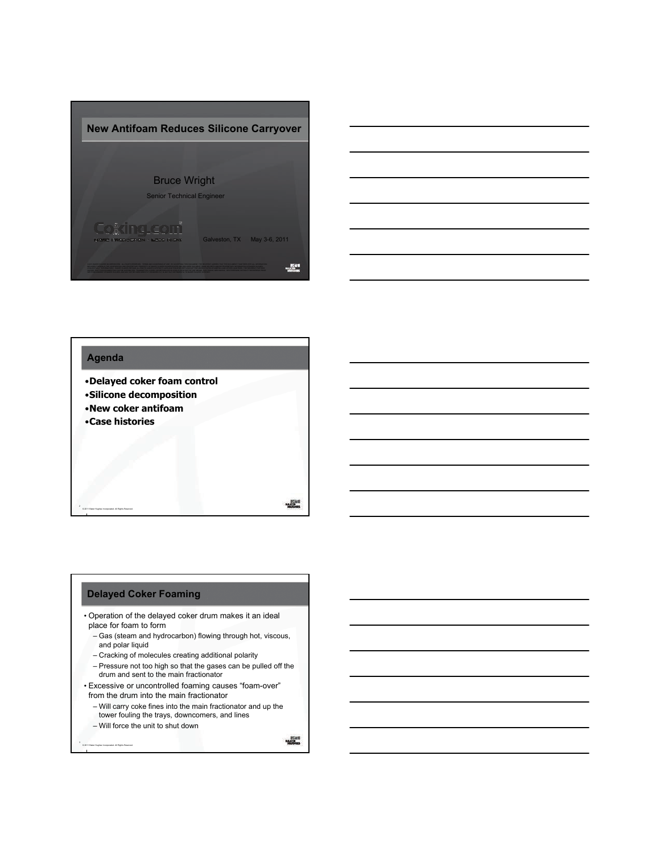



# **Agenda** •**Delayed coker foam control** •**Silicone decomposition** •**New coker antifoam** •**Case histories** © 2011 Baker Hughes Incorporated. All Rights Reserved.

#### **Delayed Coker Foaming**

- Operation of the delayed coker drum makes it an ideal place for foam to form
	- Gas (steam and hydrocarbon) flowing through hot, viscous, and polar liquid
	- Cracking of molecules creating additional polarity
	- $-$  Pressure not too high so that the gases can be pulled off the drum and sent to the main fractionator
- Excessive or uncontrolled foaming causes "foam-over" from the drum into the main fractionator
	- Will carry coke fines into the main fractionator and up the tower fouling the trays, downcomers, and lines
	- Will force the unit to shut down

© 2011 Baker Hughes Incorporated. All Rights Reserved.

 $\begin{array}{r}\n\text{PSSM} \\
\text{PSSM} \\
\text{PSSM} \\
\text{PSSM} \\
\text{PSSM} \\
\text{PSSM} \\
\text{PSSM} \\
\text{PSSM} \\
\text{PSSM} \\
\text{PSSM} \\
\text{PSSM} \\
\text{PSSM} \\
\text{PSSM} \\
\text{PSSM} \\
\text{PSSM} \\
\text{PSSM} \\
\text{PSSM} \\
\text{PSSM} \\
\text{PSSM} \\
\text{PSSM} \\
\text{PSSM} \\
\text{PSSM} \\
\text{PSSM} \\
\text{PSSM} \\
\text{PSSM} \\
\text{PSSM} \\
\text{P$ 

 $\frac{1}{1000}$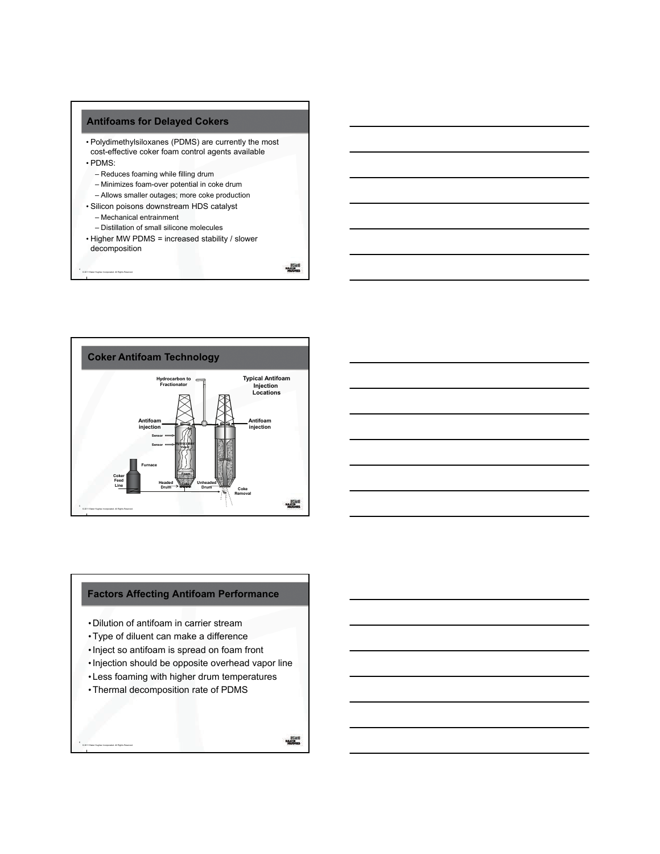#### **Antifoams for Delayed Cokers**

- Polydimethylsiloxanes (PDMS) are currently the most cost-effective coker foam control agents available • PDMS:
- 

© 2011 Baker Hughes Incorporated. All Rights Reserved.

- Reduces foaming while filling drum
- Minimizes foam-over potential in coke drum – Allows smaller outages; more coke production
- Silicon poisons downstream HDS catalyst
	- Mechanical entrainment
	- Distillation of small silicone molecules
- Higher MW PDMS = increased stability / slower decomposition

**Market** 



## **Factors Affecting Antifoam Performance**

- Dilution of antifoam in carrier stream
- •Type of diluent can make a difference
- •Inject so antifoam is spread on foam front
- Injection should be opposite overhead vapor line
- Less foaming with higher drum temperatures
- •Thermal decomposition rate of PDMS

© 2011 Baker Hughes Incorporated. All Rights Reserved.

6

 $\begin{array}{r}\n\text{PSSM} \\
\text{PSSM} \\
\text{PSSM} \\
\text{PSSM} \\
\text{PSSM} \\
\text{PSSM} \\
\text{PSSM} \\
\text{PSSM} \\
\text{PSSM} \\
\text{PSSM} \\
\text{PSSM} \\
\text{PSSM} \\
\text{PSSM} \\
\text{PSSM} \\
\text{PSSM} \\
\text{PSSM} \\
\text{PSSM} \\
\text{PSSM} \\
\text{PSSM} \\
\text{PSSM} \\
\text{PSSM} \\
\text{PSSM} \\
\text{PSSM} \\
\text{PSSM} \\
\text{PSSM} \\
\text{PSSM} \\
\text{P$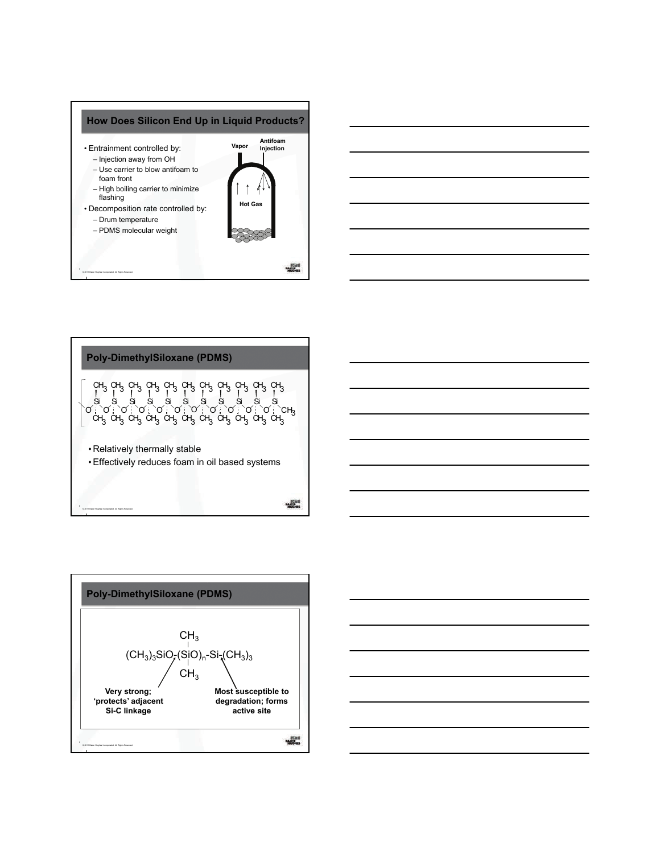







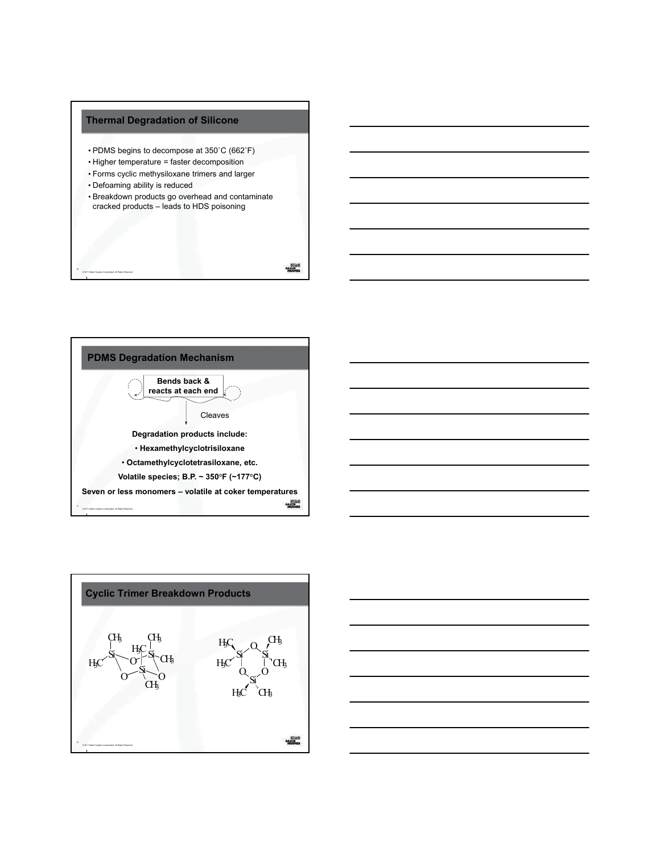

© 2011 Baker Hughes Incorporated. All Rights Reserved.





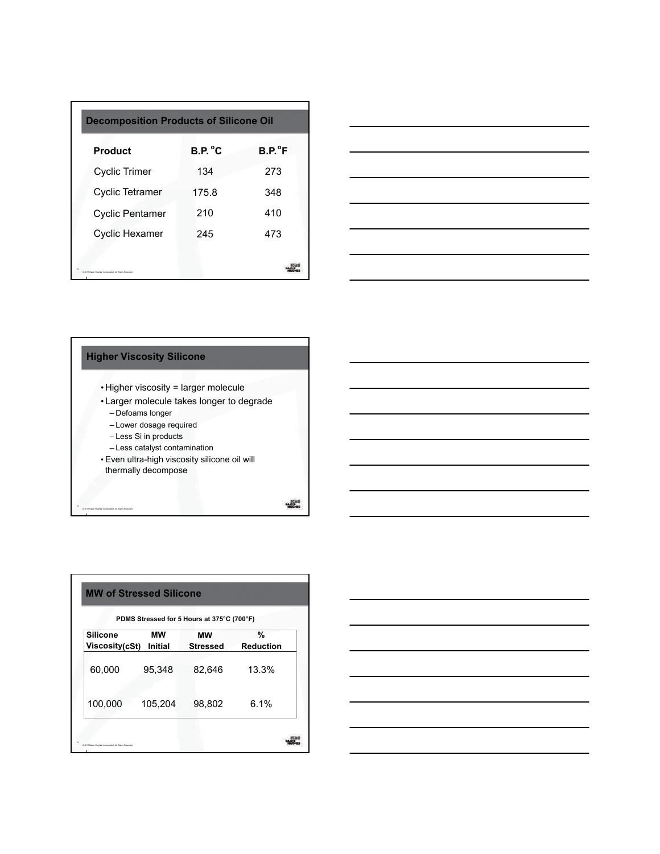|                                                        | <b>Decomposition Products of Silicone Oil</b> |                 |  |
|--------------------------------------------------------|-----------------------------------------------|-----------------|--|
| <b>Product</b>                                         | B.P. °C                                       | $B.P.^{\circ}F$ |  |
| <b>Cyclic Trimer</b>                                   | 134                                           | 273             |  |
| <b>Cyclic Tetramer</b>                                 | 175.8                                         | 348             |  |
| Cyclic Pentamer                                        | 210                                           | 410             |  |
| <b>Cyclic Hexamer</b>                                  | 245                                           | 473             |  |
| D 2011 Baker Hughes Incorporated. All Richts Reserved. |                                               |                 |  |



# **Higher Viscosity Silicone**

- Higher viscosity = larger molecule
- Larger molecule takes longer to degrade
	- Defoams longer

© 2011 Baker Hughes Incorporated. All Rights Reserved.

- Lower dosage required
- Less Si in products
- Less catalyst contamination
- Even ultra-high viscosity silicone oil will thermally decompose

 $\frac{\log n}{\log \log n}$ 

| PDMS Stressed for 5 Hours at 375°C (700°F) |                      |                       |                       |
|--------------------------------------------|----------------------|-----------------------|-----------------------|
| <b>Silicone</b><br>Viscosity(cSt)          | мw<br><b>Initial</b> | мw<br><b>Stressed</b> | %<br><b>Reduction</b> |
| 60,000                                     | 95,348               | 82,646                | 13.3%                 |
| 100,000                                    | 105,204              | 98,802                | 6.1%                  |

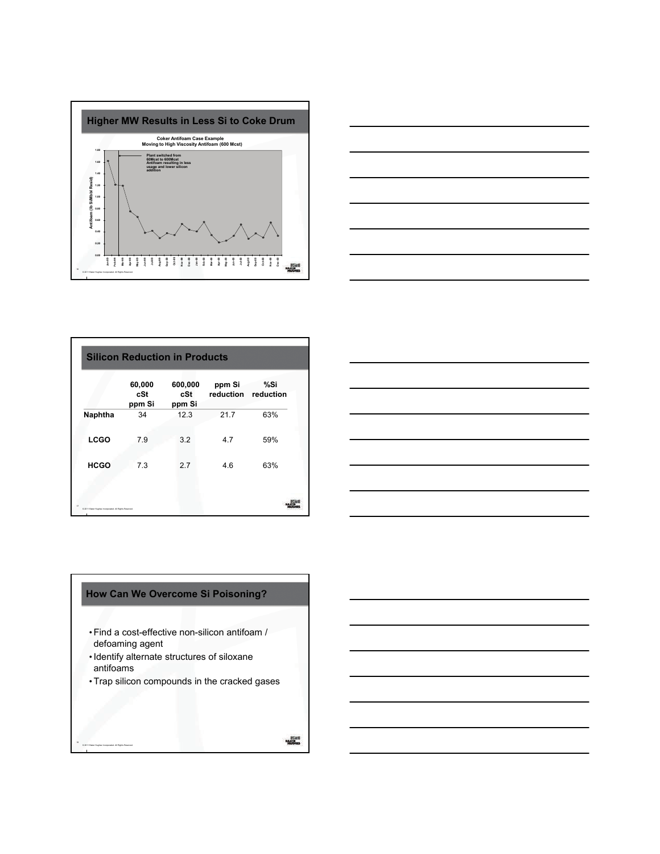



|                                                        | <b>Silicon Reduction in Products</b> |                          |                     |                  |  |
|--------------------------------------------------------|--------------------------------------|--------------------------|---------------------|------------------|--|
|                                                        | 60,000<br>cSt<br>ppm Si              | 600,000<br>cSt<br>ppm Si | ppm Si<br>reduction | %Si<br>reduction |  |
| Naphtha                                                | 34                                   | 12.3                     | 21.7                | 63%              |  |
| <b>LCGO</b>                                            | 7.9                                  | 3.2                      | 4.7                 | 59%              |  |
| <b>HCGO</b>                                            | 7.3                                  | 2.7                      | 4.6                 | 63%              |  |
|                                                        |                                      |                          |                     |                  |  |
| 0.2011 Baker Hughes Incorporated. All Rights Reserved. |                                      |                          |                     |                  |  |



## **How Can We Overcome Si Poisoning?**

- •Find a cost-effective non-silicon antifoam / defoaming agent
- •Identify alternate structures of siloxane antifoams

© 2011 Baker Hughes Incorporated. All Rights Reserved.

18

•Trap silicon compounds in the cracked gases

 $\frac{1000}{1000}$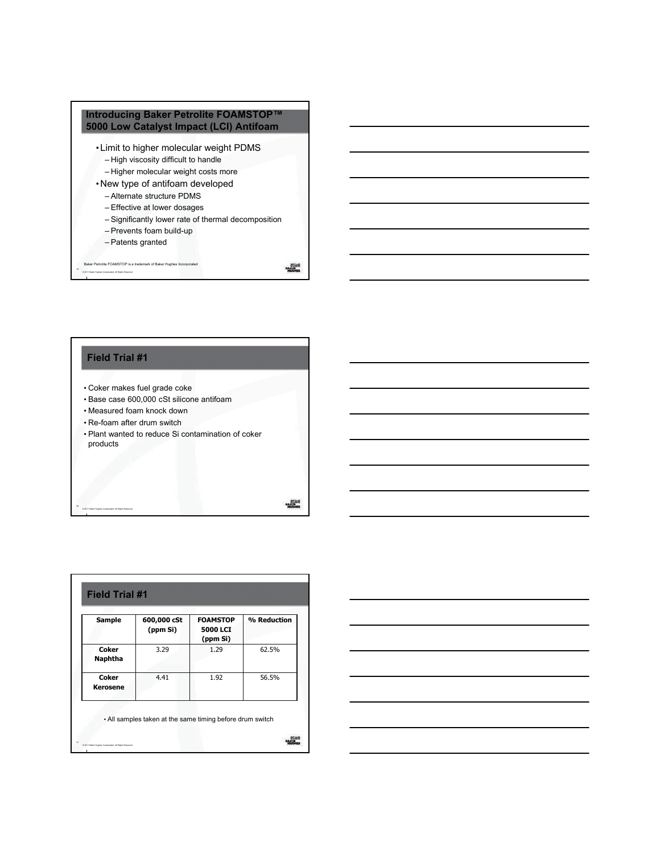

#### **Field Trial #1**

© 2011 Baker Hughes Incorporated. All Rights Reserved.

- Coker makes fuel grade coke
- Base case 600,000 cSt silicone antifoam
- Measured foam knock down
- Re-foam after drum switch
- Plant wanted to reduce Si contamination of coker products

 $\frac{1}{1000}$ 

| <b>Sample</b>            | 600,000 cSt<br>(ppm Si) | <b>FOAMSTOP</b><br><b>5000 LCI</b><br>(ppm Si) | % Reduction |
|--------------------------|-------------------------|------------------------------------------------|-------------|
| Coker<br><b>Naphtha</b>  | 3.29                    | 1.29                                           | 62.5%       |
| Coker<br><b>Kerosene</b> | 4.41                    | 1.92                                           | 56.5%       |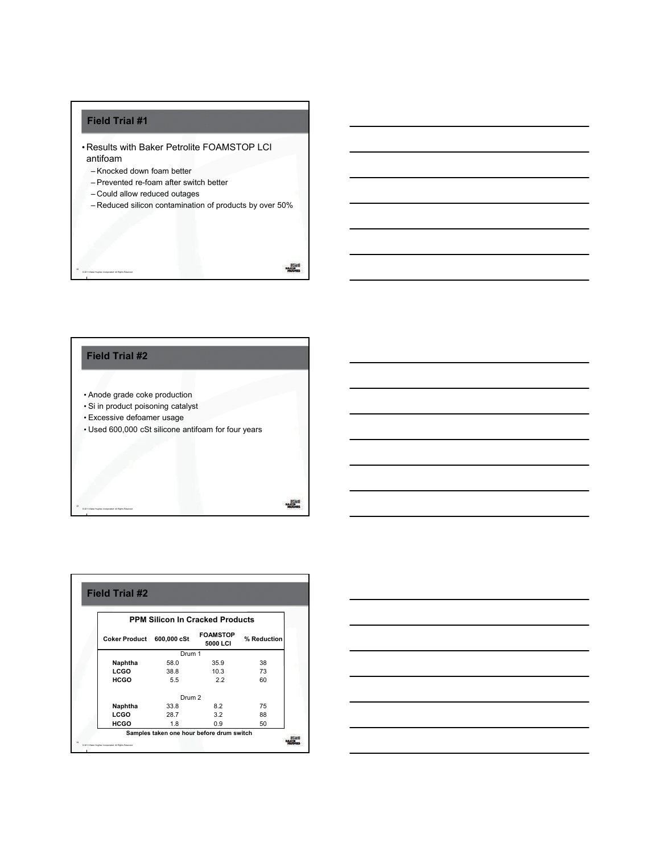# **Field Trial #1**

© 2011 Baker Hughes Incorporated. All Rights Reserved.

- Results with Baker Petrolite FOAMSTOP LCI antifoam
	- Knocked down foam better
	- Prevented re-foam after switch better
	- Could allow reduced outages
	- Reduced silicon contamination of products by over 50%

 $\frac{100001}{1000000}$ 



| <b>PPM Silicon In Cracked Products</b> |                   |                             |             |
|----------------------------------------|-------------------|-----------------------------|-------------|
| <b>Coker Product</b>                   | 600,000 cSt       | <b>FOAMSTOP</b><br>5000 LCI | % Reduction |
|                                        | Drum 1            |                             |             |
| Naphtha                                | 58.0              | 35.9                        | 38          |
| LCGO                                   | 38.8              | 10.3                        | 73          |
| <b>HCGO</b>                            | 5.5               | 2.2                         | 60          |
|                                        | Drum <sub>2</sub> |                             |             |
| Naphtha                                | 33.8              | 8.2                         | 75          |
| LCGO                                   | 28.7              | 3.2                         | 88          |
| HCGO                                   | 1.8               | 0.9                         | 50          |